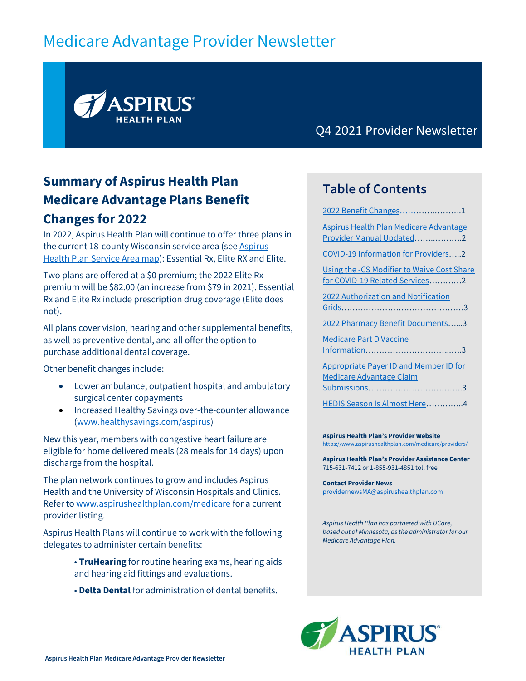# Medicare Advantage Provider Newsletter



Q4 2021 Provider Newsletter

# <span id="page-0-0"></span>**Summary of Aspirus Health Plan Medicare Advantage Plans Benefit Changes for 2022**

In 2022, Aspirus Health Plan will continue to offer three plans in the current 18-county Wisconsin service area (se[e Aspirus](https://www.aspirushealthplan.com/medicare/wp-content/uploads/plan-documents/U50387_Aspirus_CoverageAreaMap_2021.pdf?_t=1621532270)  [Health Plan Service Area map\)](https://www.aspirushealthplan.com/medicare/wp-content/uploads/plan-documents/U50387_Aspirus_CoverageAreaMap_2021.pdf?_t=1621532270): Essential Rx, Elite RX and Elite.

Two plans are offered at a \$0 premium; the 2022 Elite Rx premium will be \$82.00 (an increase from \$79 in 2021). Essential Rx and Elite Rx include prescription drug coverage (Elite does not).

All plans cover vision, hearing and other supplemental benefits, as well as preventive dental, and all offer the option to purchase additional dental coverage.

Other benefit changes include:

- Lower ambulance, outpatient hospital and ambulatory surgical center copayments
- Increased Healthy Savings over-the-counter allowance [\(www.healthysavings.com/aspirus\)](http://www.healthysavings.com/aspirus)

New this year, members with congestive heart failure are eligible for home delivered meals (28 meals for 14 days) upon discharge from the hospital.

The plan network continues to grow and includes Aspirus Health and the University of Wisconsin Hospitals and Clinics. Refer t[o www.aspirushealthplan.com/medicare](http://www.aspirushealthplan.com/medicare) for a current provider listing.

Aspirus Health Plans will continue to work with the following delegates to administer certain benefits:

- **TruHearing** for routine hearing exams, hearing aids and hearing aid fittings and evaluations.
- **Delta Dental** for administration of dental benefits.

#### **Table of Contents**

| 2022 Benefit Changes1                                                            |
|----------------------------------------------------------------------------------|
| Aspirus Health Plan Medicare Advantage<br>Provider Manual Updated2               |
| COVID-19 Information for Providers2                                              |
| Using the -CS Modifier to Waive Cost Share<br>for COVID-19 Related Services2     |
| <b>2022 Authorization and Notification</b>                                       |
| 2022 Pharmacy Benefit Documents3                                                 |
| <b>Medicare Part D Vaccine</b>                                                   |
| <b>Appropriate Payer ID and Member ID for</b><br><b>Medicare Advantage Claim</b> |
|                                                                                  |
| HEDIS Season Is Almost Here4                                                     |
|                                                                                  |

**Aspirus Health Plan's Provider Website** <https://www.aspirushealthplan.com/medicare/providers/>

**Aspirus Health Plan's Provider Assistance Center** 715-631-7412 or 1-855-931-4851 toll free

**Contact Provider News** [providernewsMA@aspirushealthplan.com](mailto:providernewsMA@aspirushealthplan.com)

*Aspirus Health Plan has partnered with UCare, based out of Minnesota, as the administrator for our Medicare Advantage Plan.*

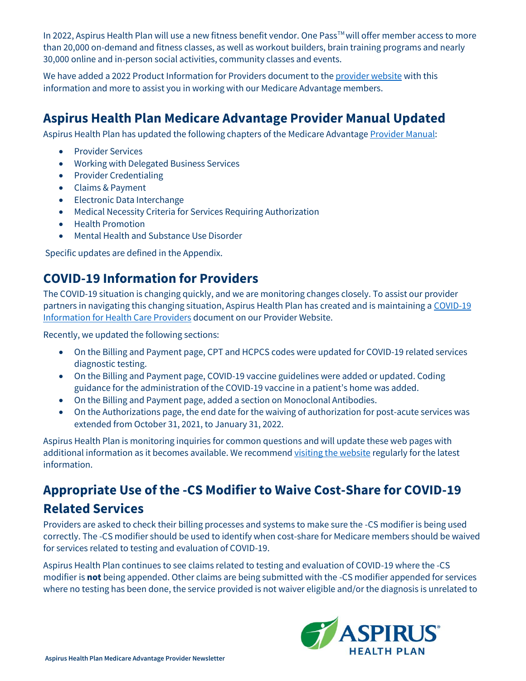In 2022, Aspirus Health Plan will use a new fitness benefit vendor. One Pass™ will offer member access to more than 20,000 on-demand and fitness classes, as well as workout builders, brain training programs and nearly 30,000 online and in-person social activities, community classes and events.

We have added a 2022 Product Information for Providers document to th[e provider website](https://www.aspirushealthplan.com/medicare/providers/) with this information and more to assist you in working with our Medicare Advantage members.

### <span id="page-1-0"></span>**Aspirus Health Plan Medicare Advantage Provider Manual Updated**

Aspirus Health Plan has updated the following chapters of the Medicare Advantage [Provider Manual:](https://www.aspirushealthplan.com/medicare/wp-content/uploads/provider/ahp-provider-manual/AspirusHealthPlanMedicareAdvantagePlansProviderManual.pdf)

- Provider Services
- Working with Delegated Business Services
- Provider Credentialing
- Claims & Payment
- Electronic Data Interchange
- Medical Necessity Criteria for Services Requiring Authorization
- Health Promotion
- Mental Health and Substance Use Disorder

Specific updates are defined in the Appendix.

#### <span id="page-1-1"></span>**COVID-19 Information for Providers**

The COVID-19 situation is changing quickly, and we are monitoring changes closely. To assist our provider partners in navigating this changing situation, Aspirus Health Plan has created and is maintaining a [COVID-19](https://www.aspirushealthplan.com/medicare/wp-content/uploads/provider/documents/COVIDInfoProviders_ASP.pdf)  [Information for Health Care Providers](https://www.aspirushealthplan.com/medicare/wp-content/uploads/provider/documents/COVIDInfoProviders_ASP.pdf) document on our Provider Website.

Recently, we updated the following sections:

- On the Billing and Payment page, CPT and HCPCS codes were updated for COVID-19 related services diagnostic testing.
- On the Billing and Payment page, COVID-19 vaccine guidelines were added or updated. Coding guidance for the administration of the COVID-19 vaccine in a patient's home was added.
- On the Billing and Payment page, added a section on Monoclonal Antibodies.
- On the Authorizations page, the end date for the waiving of authorization for post-acute services was extended from October 31, 2021, to January 31, 2022.

Aspirus Health Plan is monitoring inquiries for common questions and will update these web pages with additional information as it becomes available. We recommend [visiting the website](https://www.aspirushealthplan.com/medicare/providers/) regularly for the latest information.

# <span id="page-1-2"></span>**Appropriate Use of the -CS Modifier to Waive Cost-Share for COVID-19 Related Services**

Providers are asked to check their billing processes and systems to make sure the -CS modifier is being used correctly. The -CS modifier should be used to identify when cost-share for Medicare members should be waived for services related to testing and evaluation of COVID-19.

Aspirus Health Plan continues to see claims related to testing and evaluation of COVID-19 where the -CS modifier is **not** being appended. Other claims are being submitted with the -CS modifier appended for services where no testing has been done, the service provided is not waiver eligible and/or the diagnosis is unrelated to

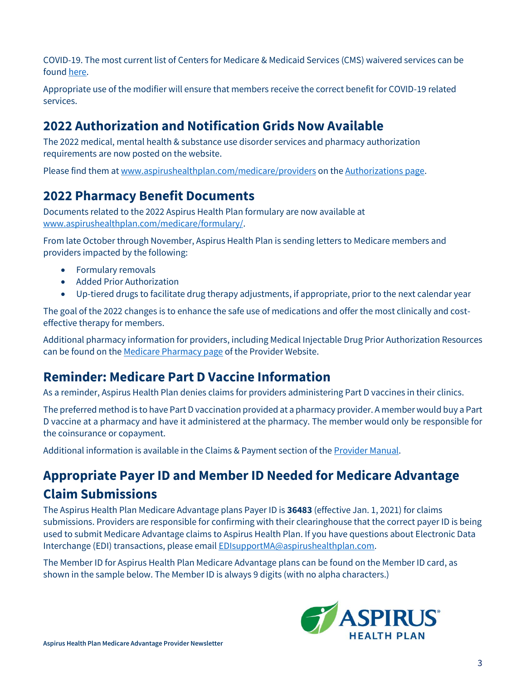COVID-19. The most current list of Centers for Medicare & Medicaid Services (CMS) waivered services can be found [here.](https://www.cms.gov/outreach-and-educationoutreachffsprovpartprogprovider-partnership-email-archive/2020-04-07-mlnc-se#_Toc37139913)

Appropriate use of the modifier will ensure that members receive the correct benefit for COVID-19 related services.

#### <span id="page-2-0"></span>**2022 Authorization and Notification Grids Now Available**

The 2022 medical, mental health & substance use disorder services and pharmacy authorization requirements are now posted on the website.

Please find them at [www.aspirushealthplan.com/medicare/providers](http://www.aspirushealthplan.com/medicare/providers) on the [Authorizations page.](https://www.aspirushealthplan.com/medicare/providers/authorizations/)

#### <span id="page-2-1"></span>**2022 Pharmacy Benefit Documents**

Documents related to the 2022 Aspirus Health Plan formulary are now available at [www.aspirushealthplan.com/medicare/formulary/.](https://www.aspirushealthplan.com/medicare/formulary/)

From late October through November, Aspirus Health Plan is sending letters to Medicare members and providers impacted by the following:

- Formulary removals
- Added Prior Authorization
- Up-tiered drugs to facilitate drug therapy adjustments, if appropriate, prior to the next calendar year

The goal of the 2022 changes is to enhance the safe use of medications and offer the most clinically and costeffective therapy for members.

Additional pharmacy information for providers, including Medical Injectable Drug Prior Authorization Resources can be found on the [Medicare Pharmacy page](https://www.aspirushealthplan.com/medicare/providers/pharmacy/) of the Provider Website.

#### <span id="page-2-2"></span>**Reminder: Medicare Part D Vaccine Information**

As a reminder, Aspirus Health Plan denies claims for providers administering Part D vaccines in their clinics.

The preferred method is to have Part D vaccination provided at a pharmacy provider. A member would buy a Part D vaccine at a pharmacy and have it administered at the pharmacy. The member would only be responsible for the coinsurance or copayment.

Additional information is available in the Claims & Payment section of the [Provider Manual.](https://www.aspirushealthplan.com/medicare/wp-content/uploads/provider/ahp-provider-manual/AspirusHealthPlanMedicareAdvantagePlansProviderManual.pdf)

## **Appropriate Payer ID and Member ID Needed for Medicare Advantage Claim Submissions**

The Aspirus Health Plan Medicare Advantage plans Payer ID is **36483** (effective Jan. 1, 2021) for claims submissions. Providers are responsible for confirming with their clearinghouse that the correct payer ID is being used to submit Medicare Advantage claims to Aspirus Health Plan. If you have questions about Electronic Data Interchange (EDI) transactions, please emai[l EDIsupportMA@aspirushealthplan.com.](mailto:EDIsupportMA@aspirushealthplan.com)

The Member ID for Aspirus Health Plan Medicare Advantage plans can be found on the Member ID card, as shown in the sample below. The Member ID is always 9 digits (with no alpha characters.)